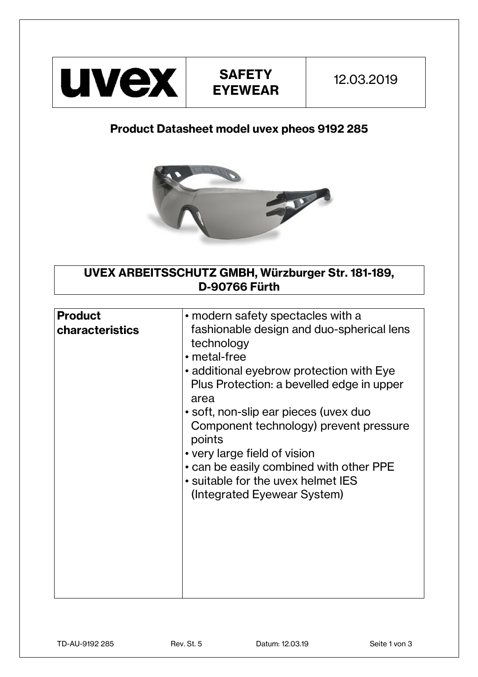

## **Product Datasheet model uvex pheos 9192 285**



**UVEX ARBEITSSCHUTZ GMBH, Würzburger Str. 181-189, D-90766 Fürth** 

| <b>Product</b><br>characteristics | • modern safety spectacles with a<br>fashionable design and duo-spherical lens<br>technology<br>• metal-free<br>• additional eyebrow protection with Eye<br>Plus Protection: a bevelled edge in upper<br>area<br>• soft, non-slip ear pieces (uvex duo<br>Component technology) prevent pressure<br>points<br>• very large field of vision<br>• can be easily combined with other PPE<br>• suitable for the uvex helmet IES<br>(Integrated Eyewear System) |
|-----------------------------------|------------------------------------------------------------------------------------------------------------------------------------------------------------------------------------------------------------------------------------------------------------------------------------------------------------------------------------------------------------------------------------------------------------------------------------------------------------|
|-----------------------------------|------------------------------------------------------------------------------------------------------------------------------------------------------------------------------------------------------------------------------------------------------------------------------------------------------------------------------------------------------------------------------------------------------------------------------------------------------------|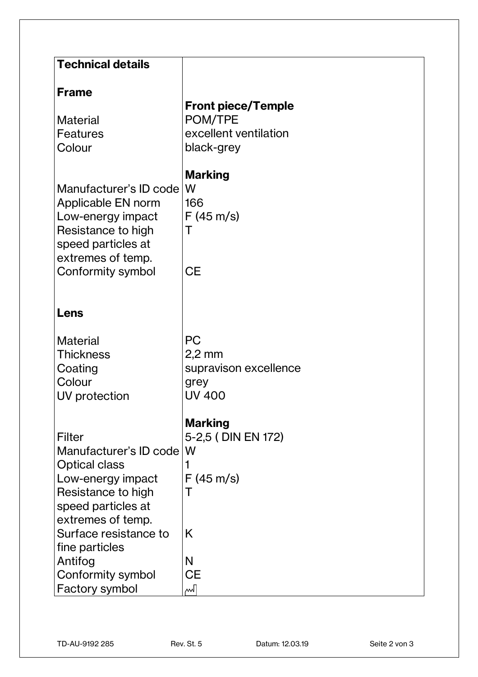| <b>Technical details</b>                                                                                                           |                                                         |
|------------------------------------------------------------------------------------------------------------------------------------|---------------------------------------------------------|
|                                                                                                                                    |                                                         |
| <b>Frame</b>                                                                                                                       | <b>Front piece/Temple</b>                               |
| <b>Material</b>                                                                                                                    | POM/TPE                                                 |
| Features                                                                                                                           | excellent ventilation                                   |
| Colour                                                                                                                             | black-grey                                              |
| Manufacturer's ID code<br>Applicable EN norm<br>Low-energy impact<br>Resistance to high<br>speed particles at<br>extremes of temp. | <b>Marking</b><br>١W<br>166<br>$F(45 \text{ m/s})$<br>Τ |
| Conformity symbol                                                                                                                  | <b>CE</b>                                               |
|                                                                                                                                    |                                                         |
| Lens                                                                                                                               |                                                         |
| <b>Material</b>                                                                                                                    | <b>PC</b>                                               |
| <b>Thickness</b>                                                                                                                   | $2,2$ mm                                                |
| Coating                                                                                                                            | supravison excellence                                   |
| Colour                                                                                                                             | grey                                                    |
| UV protection                                                                                                                      | <b>UV 400</b>                                           |
|                                                                                                                                    | <b>Marking</b>                                          |
| Filter                                                                                                                             | 5-2,5 (DIN EN 172)                                      |
| Manufacturer's ID code                                                                                                             | W                                                       |
| <b>Optical class</b>                                                                                                               | 1                                                       |
| Low-energy impact                                                                                                                  | $F(45 \text{ m/s})$                                     |
| Resistance to high                                                                                                                 | Τ                                                       |
| speed particles at                                                                                                                 |                                                         |
| extremes of temp.                                                                                                                  |                                                         |
| Surface resistance to                                                                                                              | K                                                       |
| fine particles                                                                                                                     |                                                         |
| Antifog                                                                                                                            | N                                                       |
| Conformity symbol                                                                                                                  | <b>CE</b>                                               |
| <b>Factory symbol</b>                                                                                                              | ∼√                                                      |